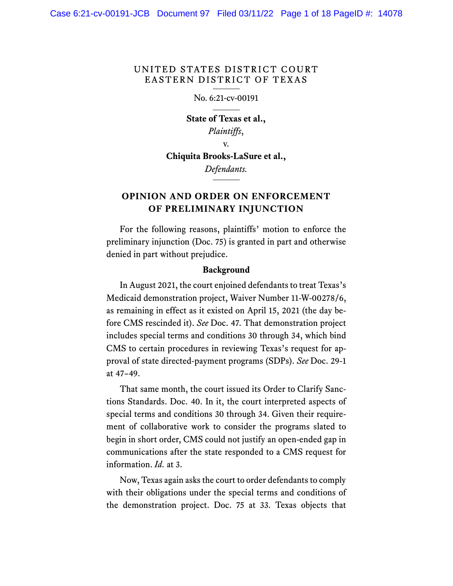## UNITED STATES DISTRICT COURT EASTERN DISTRICT OF TEXAS

#### No. 6:21-cv-00191

**State of Texas et al.,** *Plaintiffs*,

v.

# **Chiquita Brooks-LaSure et al.,**

*Defendants.*

# **OPINION AND ORDER ON ENFORCEMENT OF PRELIMINARY INJUNCTION**

For the following reasons, plaintiffs' motion to enforce the preliminary injunction (Doc. 75) is granted in part and otherwise denied in part without prejudice.

#### **Background**

In August 2021, the court enjoined defendants to treat Texas's Medicaid demonstration project, Waiver Number 11-W-00278/6, as remaining in effect as it existed on April 15, 2021 (the day before CMS rescinded it). *See* Doc. 47. That demonstration project includes special terms and conditions 30 through 34, which bind CMS to certain procedures in reviewing Texas's request for approval of state directed-payment programs (SDPs). *See* Doc. 29-1 at 47–49.

That same month, the court issued its Order to Clarify Sanctions Standards. Doc. 40. In it, the court interpreted aspects of special terms and conditions 30 through 34. Given their requirement of collaborative work to consider the programs slated to begin in short order, CMS could not justify an open-ended gap in communications after the state responded to a CMS request for information. *Id.* at 3.

Now, Texas again asks the court to order defendants to comply with their obligations under the special terms and conditions of the demonstration project. Doc. 75 at 33. Texas objects that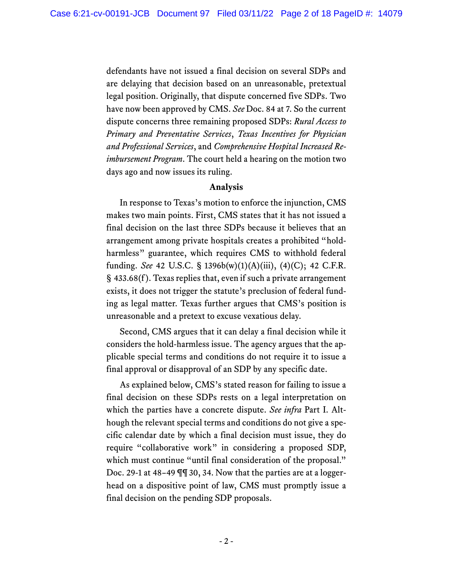defendants have not issued a final decision on several SDPs and are delaying that decision based on an unreasonable, pretextual legal position. Originally, that dispute concerned five SDPs. Two have now been approved by CMS. *See* Doc. 84 at 7. So the current dispute concerns three remaining proposed SDPs: *Rural Access to Primary and Preventative Services*, *Texas Incentives for Physician and Professional Services*, and *Comprehensive Hospital Increased Reimbursement Program*. The court held a hearing on the motion two days ago and now issues its ruling.

#### **Analysis**

In response to Texas's motion to enforce the injunction, CMS makes two main points. First, CMS states that it has not issued a final decision on the last three SDPs because it believes that an arrangement among private hospitals creates a prohibited "holdharmless" guarantee, which requires CMS to withhold federal funding. *See* 42 U.S.C. § 1396b(w)(1)(A)(iii), (4)(C); 42 C.F.R. § 433.68(f ). Texas replies that, even if such a private arrangement exists, it does not trigger the statute's preclusion of federal funding as legal matter. Texas further argues that CMS's position is unreasonable and a pretext to excuse vexatious delay.

Second, CMS argues that it can delay a final decision while it considers the hold-harmless issue. The agency argues that the applicable special terms and conditions do not require it to issue a final approval or disapproval of an SDP by any specific date.

As explained below, CMS's stated reason for failing to issue a final decision on these SDPs rests on a legal interpretation on which the parties have a concrete dispute. *See infra* Part I. Although the relevant special terms and conditions do not give a specific calendar date by which a final decision must issue, they do require "collaborative work" in considering a proposed SDP, which must continue "until final consideration of the proposal." Doc. 29-1 at 48–49 ¶¶ 30, 34. Now that the parties are at a loggerhead on a dispositive point of law, CMS must promptly issue a final decision on the pending SDP proposals.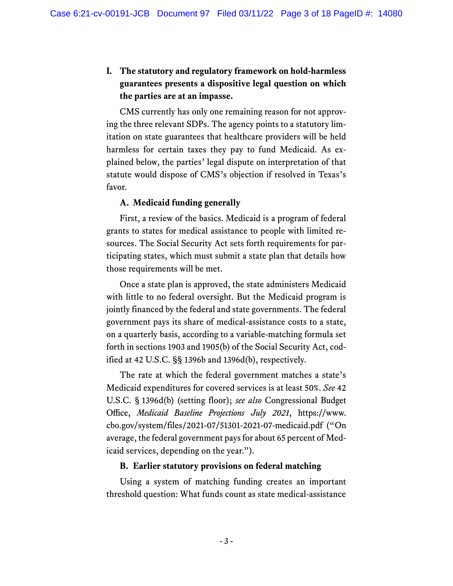# **I. The statutory and regulatory framework on hold-harmless guarantees presents a dispositive legal question on which the parties are at an impasse.**

CMS currently has only one remaining reason for not approving the three relevant SDPs. The agency points to a statutory limitation on state guarantees that healthcare providers will be held harmless for certain taxes they pay to fund Medicaid. As explained below, the parties' legal dispute on interpretation of that statute would dispose of CMS's objection if resolved in Texas's favor.

## **A. Medicaid funding generally**

First, a review of the basics. Medicaid is a program of federal grants to states for medical assistance to people with limited resources. The Social Security Act sets forth requirements for participating states, which must submit a state plan that details how those requirements will be met.

Once a state plan is approved, the state administers Medicaid with little to no federal oversight. But the Medicaid program is jointly financed by the federal and state governments. The federal government pays its share of medical-assistance costs to a state, on a quarterly basis, according to a variable-matching formula set forth in sections 1903 and 1905(b) of the Social Security Act, codified at 42 U.S.C. §§ 1396b and 1396d(b), respectively.

The rate at which the federal government matches a state's Medicaid expenditures for covered services is at least 50%. *See* 42 U.S.C. § 1396d(b) (setting floor); *see also* Congressional Budget Office, *Medicaid Baseline Projections July 2021*, https://www. cbo.gov/system/files/2021-07/51301-2021-07-medicaid.pdf ("On average, the federal government pays for about 65 percent of Medicaid services, depending on the year.").

#### **B. Earlier statutory provisions on federal matching**

Using a system of matching funding creates an important threshold question: What funds count as state medical-assistance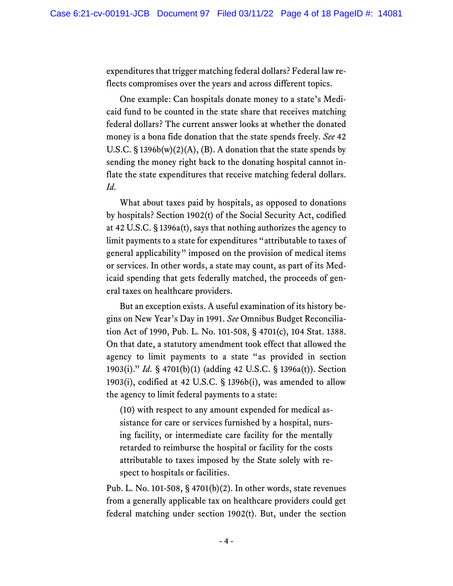expenditures that trigger matching federal dollars? Federal law reflects compromises over the years and across different topics.

One example: Can hospitals donate money to a state's Medicaid fund to be counted in the state share that receives matching federal dollars? The current answer looks at whether the donated money is a bona fide donation that the state spends freely. *See* 42 U.S.C.  $\S 1396b(w)(2)(A)$ , (B). A donation that the state spends by sending the money right back to the donating hospital cannot inflate the state expenditures that receive matching federal dollars. *Id.*

What about taxes paid by hospitals, as opposed to donations by hospitals? Section 1902(t) of the Social Security Act, codified at 42 U.S.C. § 1396a(t), says that nothing authorizes the agency to limit payments to a state for expenditures "attributable to taxes of general applicability" imposed on the provision of medical items or services. In other words, a state may count, as part of its Medicaid spending that gets federally matched, the proceeds of general taxes on healthcare providers.

But an exception exists. A useful examination of its history begins on New Year's Day in 1991. *See* Omnibus Budget Reconciliation Act of 1990, Pub. L. No. 101-508, § 4701(c), 104 Stat. 1388. On that date, a statutory amendment took effect that allowed the agency to limit payments to a state "as provided in section 1903(i)." *Id.* § 4701(b)(1) (adding 42 U.S.C. § 1396a(t)). Section 1903(i), codified at 42 U.S.C. § 1396b(i), was amended to allow the agency to limit federal payments to a state:

(10) with respect to any amount expended for medical assistance for care or services furnished by a hospital, nursing facility, or intermediate care facility for the mentally retarded to reimburse the hospital or facility for the costs attributable to taxes imposed by the State solely with respect to hospitals or facilities.

Pub. L. No. 101-508, § 4701(b)(2). In other words, state revenues from a generally applicable tax on healthcare providers could get federal matching under section 1902(t). But, under the section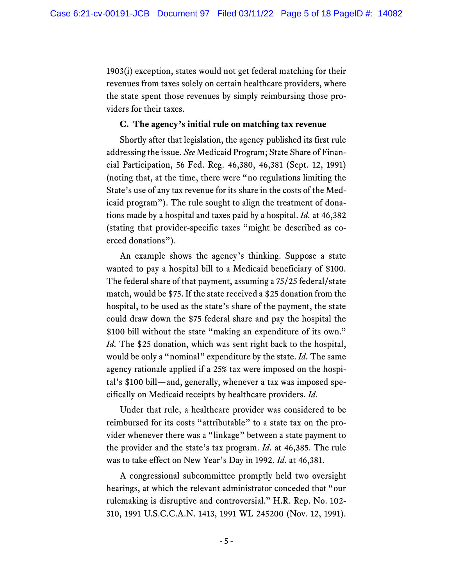1903(i) exception, states would not get federal matching for their revenues from taxes solely on certain healthcare providers, where the state spent those revenues by simply reimbursing those providers for their taxes.

#### **C. The agency's initial rule on matching tax revenue**

Shortly after that legislation, the agency published its first rule addressing the issue. *See* Medicaid Program; State Share of Financial Participation, 56 Fed. Reg. 46,380, 46,381 (Sept. 12, 1991) (noting that, at the time, there were "no regulations limiting the State's use of any tax revenue for its share in the costs of the Medicaid program"). The rule sought to align the treatment of donations made by a hospital and taxes paid by a hospital. *Id.* at 46,382 (stating that provider-specific taxes "might be described as coerced donations").

An example shows the agency's thinking. Suppose a state wanted to pay a hospital bill to a Medicaid beneficiary of \$100. The federal share of that payment, assuming a 75/25 federal/state match, would be \$75. If the state received a \$25 donation from the hospital, to be used as the state's share of the payment, the state could draw down the \$75 federal share and pay the hospital the \$100 bill without the state "making an expenditure of its own." *Id.* The \$25 donation, which was sent right back to the hospital, would be only a "nominal" expenditure by the state. *Id.* The same agency rationale applied if a 25% tax were imposed on the hospital's \$100 bill—and, generally, whenever a tax was imposed specifically on Medicaid receipts by healthcare providers. *Id.*

Under that rule, a healthcare provider was considered to be reimbursed for its costs "attributable" to a state tax on the provider whenever there was a "linkage" between a state payment to the provider and the state's tax program. *Id.* at 46,385. The rule was to take effect on New Year's Day in 1992. *Id.* at 46,381.

A congressional subcommittee promptly held two oversight hearings, at which the relevant administrator conceded that "our rulemaking is disruptive and controversial." H.R. Rep. No. 102- 310, 1991 U.S.C.C.A.N. 1413, 1991 WL 245200 (Nov. 12, 1991).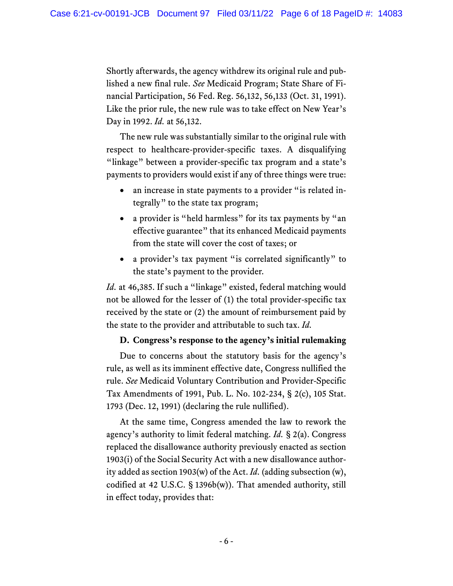Shortly afterwards, the agency withdrew its original rule and published a new final rule. *See* Medicaid Program; State Share of Financial Participation, 56 Fed. Reg. 56,132, 56,133 (Oct. 31, 1991). Like the prior rule, the new rule was to take effect on New Year's Day in 1992. *Id.* at 56,132.

The new rule was substantially similar to the original rule with respect to healthcare-provider-specific taxes. A disqualifying "linkage" between a provider-specific tax program and a state's payments to providers would exist if any of three things were true:

- an increase in state payments to a provider "is related integrally" to the state tax program;
- a provider is "held harmless" for its tax payments by "an effective guarantee" that its enhanced Medicaid payments from the state will cover the cost of taxes; or
- a provider's tax payment "is correlated significantly" to the state's payment to the provider.

*Id.* at 46,385. If such a "linkage" existed, federal matching would not be allowed for the lesser of (1) the total provider-specific tax received by the state or (2) the amount of reimbursement paid by the state to the provider and attributable to such tax. *Id.*

#### **D. Congress's response to the agency's initial rulemaking**

Due to concerns about the statutory basis for the agency's rule, as well as its imminent effective date, Congress nullified the rule. *See* Medicaid Voluntary Contribution and Provider-Specific Tax Amendments of 1991, Pub. L. No. 102-234, § 2(c), 105 Stat. 1793 (Dec. 12, 1991) (declaring the rule nullified).

At the same time, Congress amended the law to rework the agency's authority to limit federal matching. *Id.* § 2(a). Congress replaced the disallowance authority previously enacted as section 1903(i) of the Social Security Act with a new disallowance authority added as section 1903(w) of the Act. *Id.* (adding subsection (w), codified at 42 U.S.C. § 1396b(w)). That amended authority, still in effect today, provides that: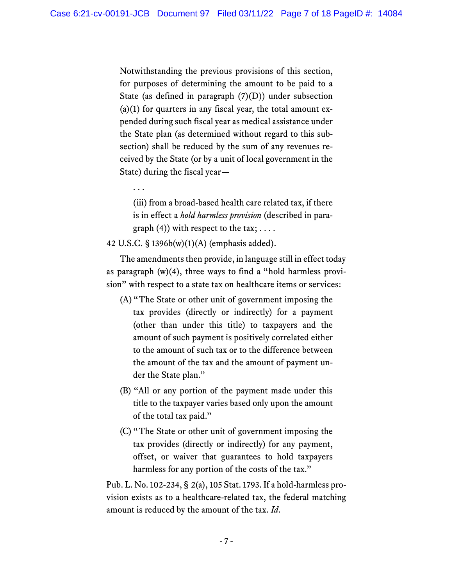Notwithstanding the previous provisions of this section, for purposes of determining the amount to be paid to a State (as defined in paragraph  $(7)(D)$ ) under subsection  $(a)(1)$  for quarters in any fiscal year, the total amount expended during such fiscal year as medical assistance under the State plan (as determined without regard to this subsection) shall be reduced by the sum of any revenues received by the State (or by a unit of local government in the State) during the fiscal year—

. . .

(iii) from a broad-based health care related tax, if there is in effect a *hold harmless provision* (described in paragraph  $(4)$ ) with respect to the tax; ...

#### 42 U.S.C. § 1396b(w)(1)(A) (emphasis added).

The amendments then provide, in language still in effect today as paragraph (w)(4), three ways to find a "hold harmless provision" with respect to a state tax on healthcare items or services:

- (A)"The State or other unit of government imposing the tax provides (directly or indirectly) for a payment (other than under this title) to taxpayers and the amount of such payment is positively correlated either to the amount of such tax or to the difference between the amount of the tax and the amount of payment under the State plan."
- (B) "All or any portion of the payment made under this title to the taxpayer varies based only upon the amount of the total tax paid."
- (C) "The State or other unit of government imposing the tax provides (directly or indirectly) for any payment, offset, or waiver that guarantees to hold taxpayers harmless for any portion of the costs of the tax."

Pub. L. No. 102-234, § 2(a), 105 Stat. 1793. If a hold-harmless provision exists as to a healthcare-related tax, the federal matching amount is reduced by the amount of the tax. *Id.*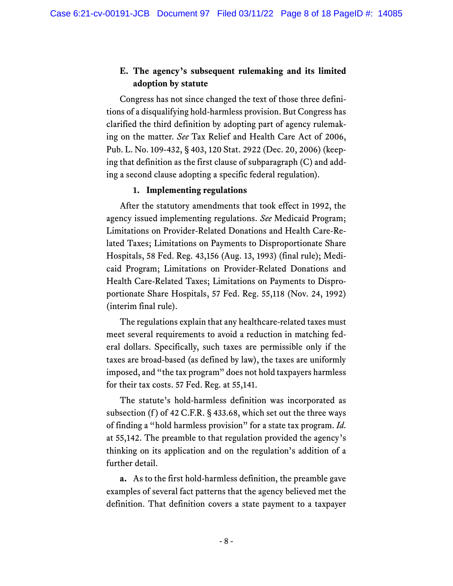# **E. The agency's subsequent rulemaking and its limited adoption by statute**

Congress has not since changed the text of those three definitions of a disqualifying hold-harmless provision. But Congress has clarified the third definition by adopting part of agency rulemaking on the matter. *See* Tax Relief and Health Care Act of 2006, Pub. L. No. 109-432, § 403, 120 Stat. 2922 (Dec. 20, 2006) (keeping that definition as the first clause of subparagraph (C) and adding a second clause adopting a specific federal regulation).

## **1. Implementing regulations**

After the statutory amendments that took effect in 1992, the agency issued implementing regulations. *See* Medicaid Program; Limitations on Provider-Related Donations and Health Care-Related Taxes; Limitations on Payments to Disproportionate Share Hospitals, 58 Fed. Reg. 43,156 (Aug. 13, 1993) (final rule); Medicaid Program; Limitations on Provider-Related Donations and Health Care-Related Taxes; Limitations on Payments to Disproportionate Share Hospitals, 57 Fed. Reg. 55,118 (Nov. 24, 1992) (interim final rule).

The regulations explain that any healthcare-related taxes must meet several requirements to avoid a reduction in matching federal dollars. Specifically, such taxes are permissible only if the taxes are broad-based (as defined by law), the taxes are uniformly imposed, and "the tax program" does not hold taxpayers harmless for their tax costs. 57 Fed. Reg. at 55,141.

The statute's hold-harmless definition was incorporated as subsection (f) of 42 C.F.R. § 433.68, which set out the three ways of finding a "hold harmless provision" for a state tax program. *Id.* at 55,142. The preamble to that regulation provided the agency's thinking on its application and on the regulation's addition of a further detail.

**a.** As to the first hold-harmless definition, the preamble gave examples of several fact patterns that the agency believed met the definition. That definition covers a state payment to a taxpayer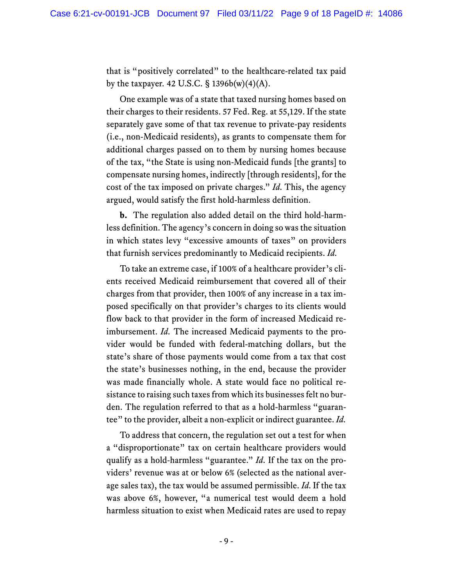that is "positively correlated" to the healthcare-related tax paid by the taxpayer. 42 U.S.C.  $\S$  1396b(w)(4)(A).

One example was of a state that taxed nursing homes based on their charges to their residents. 57 Fed. Reg. at 55,129. If the state separately gave some of that tax revenue to private-pay residents (i.e., non-Medicaid residents), as grants to compensate them for additional charges passed on to them by nursing homes because of the tax, "the State is using non-Medicaid funds [the grants] to compensate nursing homes, indirectly [through residents], for the cost of the tax imposed on private charges." *Id.* This, the agency argued, would satisfy the first hold-harmless definition.

**b.** The regulation also added detail on the third hold-harmless definition. The agency's concern in doing so was the situation in which states levy "excessive amounts of taxes" on providers that furnish services predominantly to Medicaid recipients. *Id.*

To take an extreme case, if 100% of a healthcare provider's clients received Medicaid reimbursement that covered all of their charges from that provider, then 100% of any increase in a tax imposed specifically on that provider's charges to its clients would flow back to that provider in the form of increased Medicaid reimbursement. *Id.* The increased Medicaid payments to the provider would be funded with federal-matching dollars, but the state's share of those payments would come from a tax that cost the state's businesses nothing, in the end, because the provider was made financially whole. A state would face no political resistance to raising such taxes from which its businesses felt no burden. The regulation referred to that as a hold-harmless "guarantee" to the provider, albeit a non-explicit or indirect guarantee. *Id.*

To address that concern, the regulation set out a test for when a "disproportionate" tax on certain healthcare providers would qualify as a hold-harmless "guarantee." *Id.* If the tax on the providers' revenue was at or below 6% (selected as the national average sales tax), the tax would be assumed permissible. *Id.* If the tax was above 6%, however, "a numerical test would deem a hold harmless situation to exist when Medicaid rates are used to repay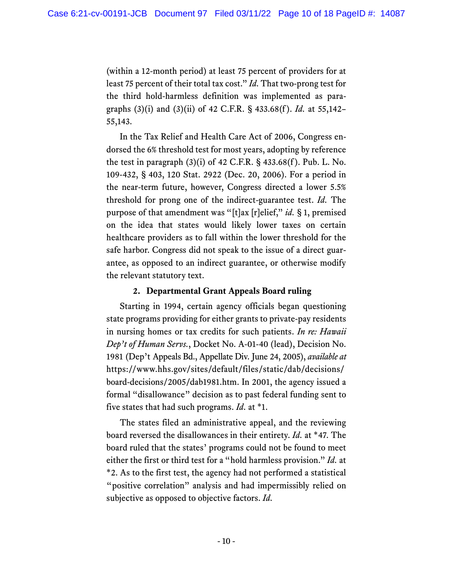(within a 12-month period) at least 75 percent of providers for at least 75 percent of their total tax cost." *Id.* That two-prong test for the third hold-harmless definition was implemented as paragraphs (3)(i) and (3)(ii) of 42 C.F.R. § 433.68(f ). *Id.* at 55,142– 55,143.

In the Tax Relief and Health Care Act of 2006, Congress endorsed the 6% threshold test for most years, adopting by reference the test in paragraph  $(3)(i)$  of 42 C.F.R. § 433.68 $(f)$ . Pub. L. No. 109-432, § 403, 120 Stat. 2922 (Dec. 20, 2006). For a period in the near-term future, however, Congress directed a lower 5.5% threshold for prong one of the indirect-guarantee test. *Id.* The purpose of that amendment was "[t]ax [r]elief," *id.* § 1, premised on the idea that states would likely lower taxes on certain healthcare providers as to fall within the lower threshold for the safe harbor. Congress did not speak to the issue of a direct guarantee, as opposed to an indirect guarantee, or otherwise modify the relevant statutory text.

## **2. Departmental Grant Appeals Board ruling**

Starting in 1994, certain agency officials began questioning state programs providing for either grants to private-pay residents in nursing homes or tax credits for such patients. *In re: Hawaii Dep't of Human Servs.*, Docket No. A-01-40 (lead), Decision No. 1981 (Dep't Appeals Bd., Appellate Div. June 24, 2005), *available at*  https://www.hhs.gov/sites/default/files/static/dab/decisions/ board-decisions/2005/dab1981.htm. In 2001, the agency issued a formal "disallowance" decision as to past federal funding sent to five states that had such programs. *Id.* at \*1.

The states filed an administrative appeal, and the reviewing board reversed the disallowances in their entirety. *Id.* at \*47. The board ruled that the states' programs could not be found to meet either the first or third test for a "hold harmless provision." *Id.* at \*2. As to the first test, the agency had not performed a statistical "positive correlation" analysis and had impermissibly relied on subjective as opposed to objective factors. *Id.*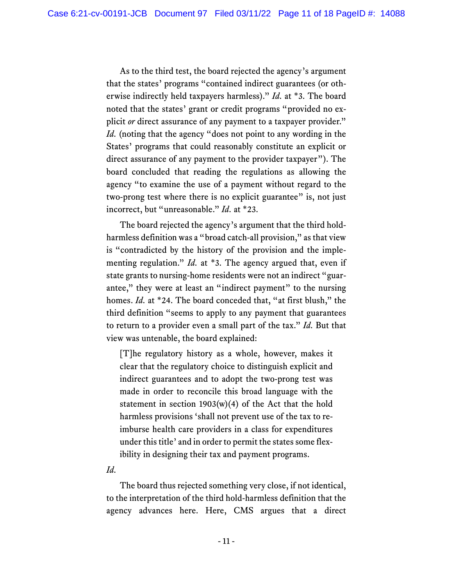As to the third test, the board rejected the agency's argument that the states' programs "contained indirect guarantees (or otherwise indirectly held taxpayers harmless)." *Id.* at \*3. The board noted that the states' grant or credit programs "provided no explicit *or* direct assurance of any payment to a taxpayer provider." *Id.* (noting that the agency "does not point to any wording in the States' programs that could reasonably constitute an explicit or direct assurance of any payment to the provider taxpayer"). The board concluded that reading the regulations as allowing the agency "to examine the use of a payment without regard to the two-prong test where there is no explicit guarantee" is, not just incorrect, but "unreasonable." *Id.* at \*23.

The board rejected the agency's argument that the third holdharmless definition was a "broad catch-all provision," as that view is "contradicted by the history of the provision and the implementing regulation." *Id.* at \*3. The agency argued that, even if state grants to nursing-home residents were not an indirect "guarantee," they were at least an "indirect payment" to the nursing homes. *Id.* at \*24. The board conceded that, "at first blush," the third definition "seems to apply to any payment that guarantees to return to a provider even a small part of the tax." *Id.* But that view was untenable, the board explained:

[T]he regulatory history as a whole, however, makes it clear that the regulatory choice to distinguish explicit and indirect guarantees and to adopt the two-prong test was made in order to reconcile this broad language with the statement in section  $1903(w)(4)$  of the Act that the hold harmless provisions ʻshall not prevent use of the tax to reimburse health care providers in a class for expenditures under this title' and in order to permit the states some flexibility in designing their tax and payment programs.

*Id.*

The board thus rejected something very close, if not identical, to the interpretation of the third hold-harmless definition that the agency advances here. Here, CMS argues that a direct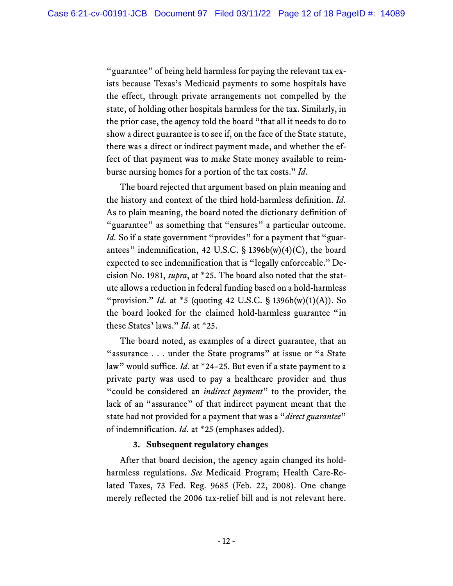"guarantee" of being held harmless for paying the relevant tax exists because Texas's Medicaid payments to some hospitals have the effect, through private arrangements not compelled by the state, of holding other hospitals harmless for the tax. Similarly, in the prior case, the agency told the board "that all it needs to do to show a direct guarantee is to see if, on the face of the State statute, there was a direct or indirect payment made, and whether the effect of that payment was to make State money available to reimburse nursing homes for a portion of the tax costs." *Id.*

The board rejected that argument based on plain meaning and the history and context of the third hold-harmless definition. *Id.* As to plain meaning, the board noted the dictionary definition of "guarantee" as something that "ensures" a particular outcome. *Id.* So if a state government "provides" for a payment that "guarantees" indemnification, 42 U.S.C. § 1396b(w)(4)(C), the board expected to see indemnification that is "legally enforceable." Decision No. 1981, *supra*, at \*25. The board also noted that the statute allows a reduction in federal funding based on a hold-harmless "provision." *Id.* at \*5 (quoting 42 U.S.C. § 1396b(w)(1)(A)). So the board looked for the claimed hold-harmless guarantee "in these States' laws." *Id.* at \*25.

The board noted, as examples of a direct guarantee, that an "assurance . . . under the State programs" at issue or "a State law" would suffice. *Id.* at \*24–25. But even if a state payment to a private party was used to pay a healthcare provider and thus "could be considered an *indirect payment*" to the provider, the lack of an "assurance" of that indirect payment meant that the state had not provided for a payment that was a "*direct guarantee*" of indemnification. *Id.* at \*25 (emphases added).

#### **3. Subsequent regulatory changes**

After that board decision, the agency again changed its holdharmless regulations. *See* Medicaid Program; Health Care-Related Taxes, 73 Fed. Reg. 9685 (Feb. 22, 2008). One change merely reflected the 2006 tax-relief bill and is not relevant here.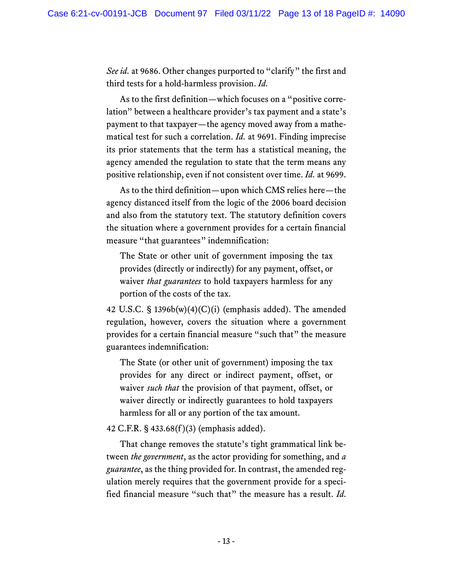*See id.* at 9686. Other changes purported to "clarify" the first and third tests for a hold-harmless provision. *Id.*

As to the first definition—which focuses on a "positive correlation" between a healthcare provider's tax payment and a state's payment to that taxpayer—the agency moved away from a mathematical test for such a correlation. *Id.* at 9691. Finding imprecise its prior statements that the term has a statistical meaning, the agency amended the regulation to state that the term means any positive relationship, even if not consistent over time. *Id.* at 9699.

As to the third definition—upon which CMS relies here—the agency distanced itself from the logic of the 2006 board decision and also from the statutory text. The statutory definition covers the situation where a government provides for a certain financial measure "that guarantees" indemnification:

The State or other unit of government imposing the tax provides (directly or indirectly) for any payment, offset, or waiver *that guarantees* to hold taxpayers harmless for any portion of the costs of the tax.

42 U.S.C.  $\S$  1396b(w)(4)(C)(i) (emphasis added). The amended regulation, however, covers the situation where a government provides for a certain financial measure "such that" the measure guarantees indemnification:

The State (or other unit of government) imposing the tax provides for any direct or indirect payment, offset, or waiver *such that* the provision of that payment, offset, or waiver directly or indirectly guarantees to hold taxpayers harmless for all or any portion of the tax amount.

42 C.F.R. § 433.68(f )(3) (emphasis added).

That change removes the statute's tight grammatical link between *the government*, as the actor providing for something, and *a guarantee*, as the thing provided for. In contrast, the amended regulation merely requires that the government provide for a specified financial measure "such that" the measure has a result. *Id.*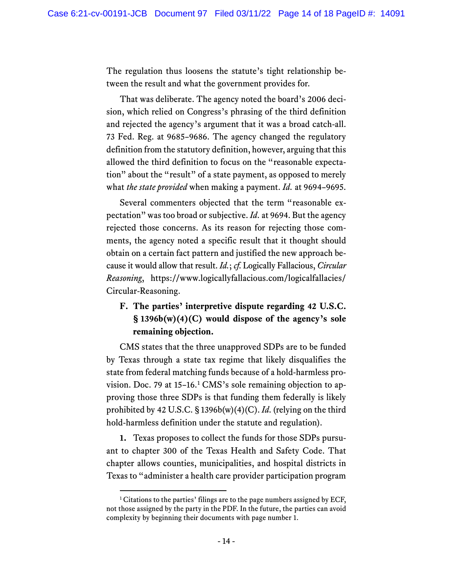The regulation thus loosens the statute's tight relationship between the result and what the government provides for.

That was deliberate. The agency noted the board's 2006 decision, which relied on Congress's phrasing of the third definition and rejected the agency's argument that it was a broad catch-all. 73 Fed. Reg. at 9685–9686. The agency changed the regulatory definition from the statutory definition, however, arguing that this allowed the third definition to focus on the "reasonable expectation" about the "result" of a state payment, as opposed to merely what *the state provided* when making a payment. *Id.* at 9694–9695.

Several commenters objected that the term "reasonable expectation" was too broad or subjective. *Id.* at 9694. But the agency rejected those concerns. As its reason for rejecting those comments, the agency noted a specific result that it thought should obtain on a certain fact pattern and justified the new approach because it would allow that result. *Id.*; *cf.* Logically Fallacious, *Circular Reasoning*, https://www.logicallyfallacious.com/logicalfallacies/ Circular-Reasoning.

# **F. The parties' interpretive dispute regarding 42 U.S.C. § 1396b(w)(4)(C) would dispose of the agency's sole remaining objection.**

CMS states that the three unapproved SDPs are to be funded by Texas through a state tax regime that likely disqualifies the state from federal matching funds because of a hold-harmless provision. Doc. 79 at 15-16.<sup>1</sup> CMS's sole remaining objection to approving those three SDPs is that funding them federally is likely prohibited by 42 U.S.C. § 1396b(w)(4)(C). *Id.* (relying on the third hold-harmless definition under the statute and regulation).

**1.** Texas proposes to collect the funds for those SDPs pursuant to chapter 300 of the Texas Health and Safety Code. That chapter allows counties, municipalities, and hospital districts in Texas to "administer a health care provider participation program

 $1$ <sup>1</sup> Citations to the parties' filings are to the page numbers assigned by ECF, not those assigned by the party in the PDF. In the future, the parties can avoid complexity by beginning their documents with page number 1.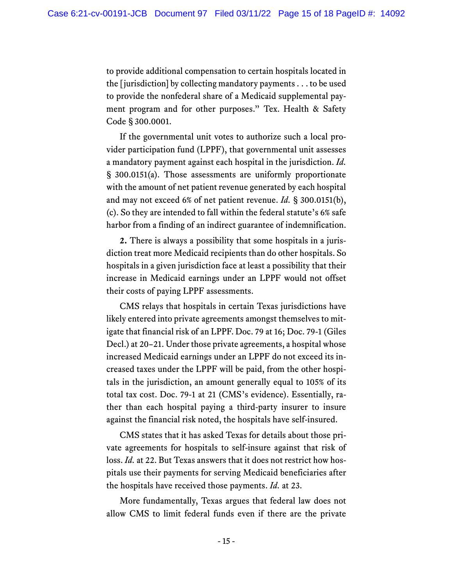to provide additional compensation to certain hospitals located in the [jurisdiction] by collecting mandatory payments . . . to be used to provide the nonfederal share of a Medicaid supplemental payment program and for other purposes." Tex. Health & Safety Code § 300.0001.

If the governmental unit votes to authorize such a local provider participation fund (LPPF), that governmental unit assesses a mandatory payment against each hospital in the jurisdiction. *Id.* § 300.0151(a). Those assessments are uniformly proportionate with the amount of net patient revenue generated by each hospital and may not exceed 6% of net patient revenue. *Id.* § 300.0151(b), (c). So they are intended to fall within the federal statute's 6% safe harbor from a finding of an indirect guarantee of indemnification.

**2.** There is always a possibility that some hospitals in a jurisdiction treat more Medicaid recipients than do other hospitals. So hospitals in a given jurisdiction face at least a possibility that their increase in Medicaid earnings under an LPPF would not offset their costs of paying LPPF assessments.

CMS relays that hospitals in certain Texas jurisdictions have likely entered into private agreements amongst themselves to mitigate that financial risk of an LPPF. Doc. 79 at 16; Doc. 79-1 (Giles Decl.) at 20–21. Under those private agreements, a hospital whose increased Medicaid earnings under an LPPF do not exceed its increased taxes under the LPPF will be paid, from the other hospitals in the jurisdiction, an amount generally equal to 105% of its total tax cost. Doc. 79-1 at 21 (CMS's evidence). Essentially, rather than each hospital paying a third-party insurer to insure against the financial risk noted, the hospitals have self-insured.

CMS states that it has asked Texas for details about those private agreements for hospitals to self-insure against that risk of loss. *Id.* at 22. But Texas answers that it does not restrict how hospitals use their payments for serving Medicaid beneficiaries after the hospitals have received those payments. *Id.* at 23.

More fundamentally, Texas argues that federal law does not allow CMS to limit federal funds even if there are the private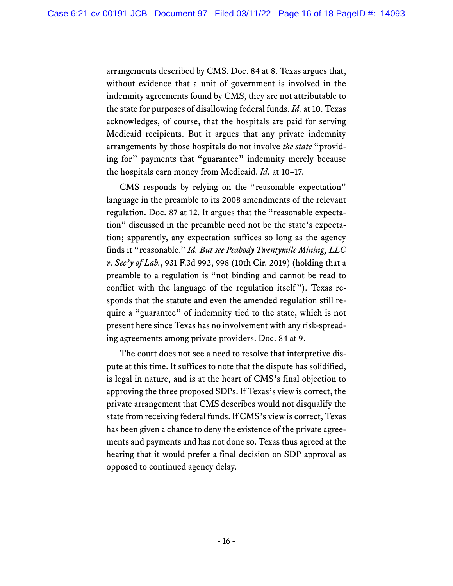arrangements described by CMS. Doc. 84 at 8. Texas argues that, without evidence that a unit of government is involved in the indemnity agreements found by CMS, they are not attributable to the state for purposes of disallowing federal funds. *Id.* at 10. Texas acknowledges, of course, that the hospitals are paid for serving Medicaid recipients. But it argues that any private indemnity arrangements by those hospitals do not involve *the state* "providing for" payments that "guarantee" indemnity merely because the hospitals earn money from Medicaid. *Id.* at 10–17.

CMS responds by relying on the "reasonable expectation" language in the preamble to its 2008 amendments of the relevant regulation. Doc. 87 at 12. It argues that the "reasonable expectation" discussed in the preamble need not be the state's expectation; apparently, any expectation suffices so long as the agency finds it "reasonable." *Id. But see Peabody Twentymile Mining, LLC v. Sec'y of Lab.*, 931 F.3d 992, 998 (10th Cir. 2019) (holding that a preamble to a regulation is "not binding and cannot be read to conflict with the language of the regulation itself"). Texas responds that the statute and even the amended regulation still require a "guarantee" of indemnity tied to the state, which is not present here since Texas has no involvement with any risk-spreading agreements among private providers. Doc. 84 at 9.

The court does not see a need to resolve that interpretive dispute at this time. It suffices to note that the dispute has solidified, is legal in nature, and is at the heart of CMS's final objection to approving the three proposed SDPs. If Texas's view is correct, the private arrangement that CMS describes would not disqualify the state from receiving federal funds. If CMS's view is correct, Texas has been given a chance to deny the existence of the private agreements and payments and has not done so. Texas thus agreed at the hearing that it would prefer a final decision on SDP approval as opposed to continued agency delay.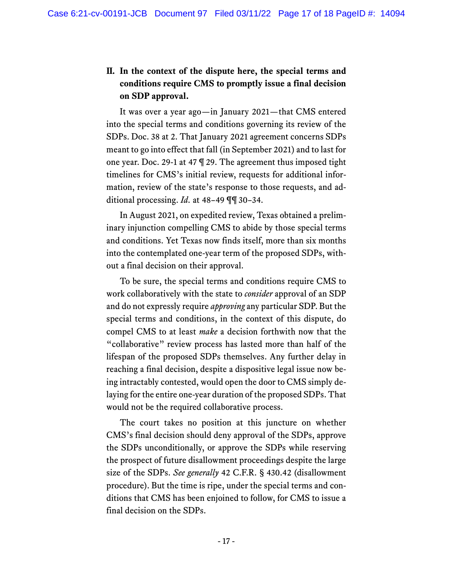# **II. In the context of the dispute here, the special terms and conditions require CMS to promptly issue a final decision on SDP approval.**

It was over a year ago—in January 2021—that CMS entered into the special terms and conditions governing its review of the SDPs. Doc. 38 at 2. That January 2021 agreement concerns SDPs meant to go into effect that fall (in September 2021) and to last for one year. Doc. 29-1 at 47 ¶ 29. The agreement thus imposed tight timelines for CMS's initial review, requests for additional information, review of the state's response to those requests, and additional processing. *Id.* at 48–49 ¶¶ 30–34.

In August 2021, on expedited review, Texas obtained a preliminary injunction compelling CMS to abide by those special terms and conditions. Yet Texas now finds itself, more than six months into the contemplated one-year term of the proposed SDPs, without a final decision on their approval.

To be sure, the special terms and conditions require CMS to work collaboratively with the state to *consider* approval of an SDP and do not expressly require *approving* any particular SDP. But the special terms and conditions, in the context of this dispute, do compel CMS to at least *make* a decision forthwith now that the "collaborative" review process has lasted more than half of the lifespan of the proposed SDPs themselves. Any further delay in reaching a final decision, despite a dispositive legal issue now being intractably contested, would open the door to CMS simply delaying for the entire one-year duration of the proposed SDPs. That would not be the required collaborative process.

The court takes no position at this juncture on whether CMS's final decision should deny approval of the SDPs, approve the SDPs unconditionally, or approve the SDPs while reserving the prospect of future disallowment proceedings despite the large size of the SDPs. *See generally* 42 C.F.R. § 430.42 (disallowment procedure). But the time is ripe, under the special terms and conditions that CMS has been enjoined to follow, for CMS to issue a final decision on the SDPs.